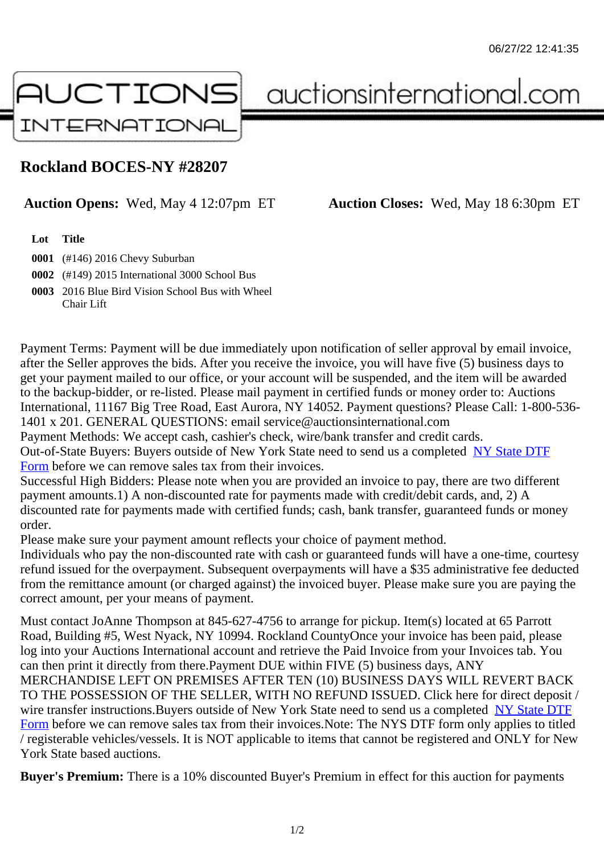## Rockland BOCES-NY #28207

## Auction Opens: Wed, May 4 12:07pm ET Auction Closes: Wed, May 18 6:30pm ET

Lot Title

0001 (#146) 2016 Chevy Suburban

0002 (#149) 2015 International 3000 School Bus

0003 2016 Blue Bird Vision School Bus with Wheel Chair Lift

Payment Terms: Payment will be due immediately upon notification of seller approval by email invoice, after the Seller approves the bids. After you receive the invoice, you will have five (5) business days to get your payment mailed to our office, or your account will be suspended, and the item will be awarded to the backup-bidder, or re-listed. Please mail payment in certified funds or money order to: Auctions International, 11167 Big Tree Road, East Aurora, NY 14052. Payment questions? Please Call: 1-800-53 1401 x 201. GENERAL QUESTIONS: email service@auctionsinternational.com

Payment Methods: We accept cash, cashier's check, wire/bank transfer and credit cards.

Out-of-State Buyers: Buyers outside of New York State need to send us a com blestate DTF

Form before we can remove sales tax from their invoices.

Successful High Bidders: Please note when you are provided an invoice to pay, there are two different payment amounts.1) A non-discounted rate for payments made with credit/de[bit cards, and](https://www.auctionsinternational.com/auxiliary/downloads/DTF_Form/dtf_fill_in.pdf), 2) A [disco](https://www.auctionsinternational.com/auxiliary/downloads/DTF_Form/dtf_fill_in.pdf)unted rate for payments made with certified funds; cash, bank transfer, quaranteed funds or mone order.

Please make sure your payment amount reflects your choice of payment method.

Individuals who pay the non-discounted rate with cash or guaranteed funds will have a one-time, courte refund issued for the overpayment. Subsequent overpayments will have a \$35 administrative fee deduc from the remittance amount (or charged against) the invoiced buyer. Please make sure you are paying correct amount, per your means of payment.

Must contact JoAnne Thompson at 845-627-4756 to arrange for pickup. Item(s) located at 65 Parrott Road, Building #5, West Nyack, NY 10994. Rockland CountyOnce your invoice has been paid, please log into your Auctions International account and retrieve the Paid Invoice from your Invoices tab. You can then print it directly from there.Payment DUE within FIVE (5) business days, ANY MERCHANDISE LEFT ON PREMISES AFTER TEN (10) BUSINESS DAYS WILL REVERT BACK TO THE POSSESSION OF THE SELLER, WITH NO REFUND ISSUED. Click here for direct deposit / wire transfer instructions. Buyers outside of New York State need to send us a completed DTF Form before we can remove sales tax from their invoices.Note: The NYS DTF form only applies to titled / registerable vehicles/vessels. It is NOT applicable to items that cannot be registered and ONLY for New York State based auctions.

[Buye](https://www.auctionsinternational.com/auxiliary/downloads/DTF_Form/dtf_fill_in.pdf)r's Premium: There is a 10% discounted Buyer's Premium in effect for this auction for payments